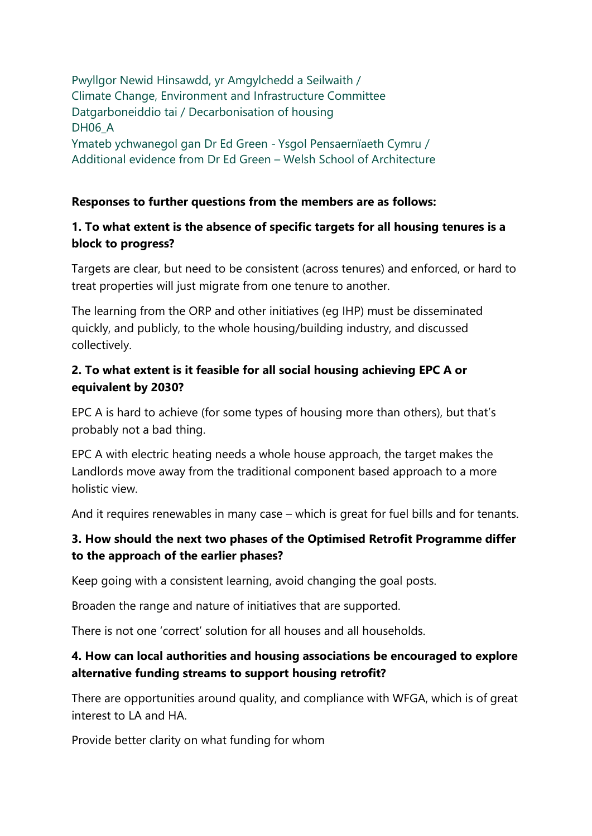Pwyllgor Newid Hinsawdd, yr Amgylchedd a Seilwaith / Climate Change, Environment and Infrastructure Committee Datgarboneiddio tai / Decarbonisation of housing DH06<sub>A</sub> Ymateb ychwanegol gan Dr Ed Green - Ysgol Pensaernïaeth Cymru / Additional evidence from Dr Ed Green – Welsh School of Architecture

#### **Responses to further questions from the members are as follows:**

### **1. To what extent is the absence of specific targets for all housing tenures is a block to progress?**

Targets are clear, but need to be consistent (across tenures) and enforced, or hard to treat properties will just migrate from one tenure to another.

The learning from the ORP and other initiatives (eg IHP) must be disseminated quickly, and publicly, to the whole housing/building industry, and discussed collectively.

### **2. To what extent is it feasible for all social housing achieving EPC A or equivalent by 2030?**

EPC A is hard to achieve (for some types of housing more than others), but that's probably not a bad thing.

EPC A with electric heating needs a whole house approach, the target makes the Landlords move away from the traditional component based approach to a more holistic view.

And it requires renewables in many case – which is great for fuel bills and for tenants.

# **3. How should the next two phases of the Optimised Retrofit Programme differ to the approach of the earlier phases?**

Keep going with a consistent learning, avoid changing the goal posts.

Broaden the range and nature of initiatives that are supported.

There is not one 'correct' solution for all houses and all households.

# **4. How can local authorities and housing associations be encouraged to explore alternative funding streams to support housing retrofit?**

There are opportunities around quality, and compliance with WFGA, which is of great interest to LA and HA.

Provide better clarity on what funding for whom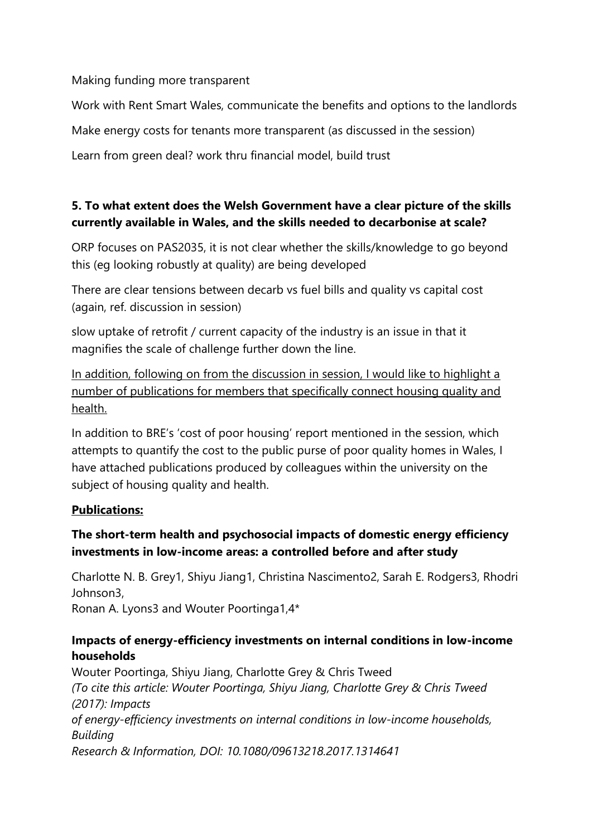#### Making funding more transparent

Work with Rent Smart Wales, communicate the benefits and options to the landlords Make energy costs for tenants more transparent (as discussed in the session) Learn from green deal? work thru financial model, build trust

# **5. To what extent does the Welsh Government have a clear picture of the skills currently available in Wales, and the skills needed to decarbonise at scale?**

ORP focuses on PAS2035, it is not clear whether the skills/knowledge to go beyond this (eg looking robustly at quality) are being developed

There are clear tensions between decarb vs fuel bills and quality vs capital cost (again, ref. discussion in session)

slow uptake of retrofit / current capacity of the industry is an issue in that it magnifies the scale of challenge further down the line.

In addition, following on from the discussion in session, I would like to highlight a number of publications for members that specifically connect housing quality and health.

In addition to BRE's 'cost of poor housing' report mentioned in the session, which attempts to quantify the cost to the public purse of poor quality homes in Wales, I have attached publications produced by colleagues within the university on the subject of housing quality and health.

### **Publications:**

# **The short-term health and psychosocial impacts of domestic energy efficiency investments in low-income areas: a controlled before and after study**

Charlotte N. B. Grey1, Shiyu Jiang1, Christina Nascimento2, Sarah E. Rodgers3, Rhodri Johnson3, Ronan A. Lyons3 and Wouter Poortinga1,4\*

### **Impacts of energy-efficiency investments on internal conditions in low-income households**

Wouter Poortinga, Shiyu Jiang, Charlotte Grey & Chris Tweed *(To cite this article: Wouter Poortinga, Shiyu Jiang, Charlotte Grey & Chris Tweed (2017): Impacts of energy-efficiency investments on internal conditions in low-income households, Building Research & Information, DOI: 10.1080/09613218.2017.1314641*